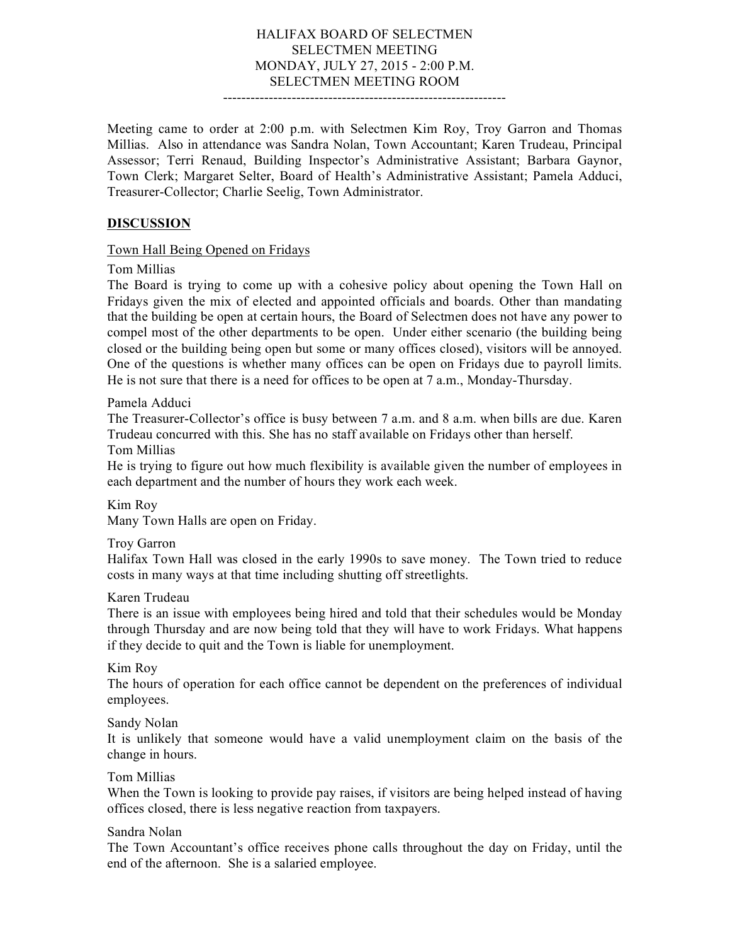### HALIFAX BOARD OF SELECTMEN SELECTMEN MEETING MONDAY, JULY 27, 2015 - 2:00 P.M. SELECTMEN MEETING ROOM

--------------------------------------------------------------

Meeting came to order at 2:00 p.m. with Selectmen Kim Roy, Troy Garron and Thomas Millias. Also in attendance was Sandra Nolan, Town Accountant; Karen Trudeau, Principal Assessor; Terri Renaud, Building Inspector's Administrative Assistant; Barbara Gaynor, Town Clerk; Margaret Selter, Board of Health's Administrative Assistant; Pamela Adduci, Treasurer-Collector; Charlie Seelig, Town Administrator.

## **DISCUSSION**

#### Town Hall Being Opened on Fridays

Tom Millias

The Board is trying to come up with a cohesive policy about opening the Town Hall on Fridays given the mix of elected and appointed officials and boards. Other than mandating that the building be open at certain hours, the Board of Selectmen does not have any power to compel most of the other departments to be open. Under either scenario (the building being closed or the building being open but some or many offices closed), visitors will be annoyed. One of the questions is whether many offices can be open on Fridays due to payroll limits. He is not sure that there is a need for offices to be open at 7 a.m., Monday-Thursday.

Pamela Adduci

The Treasurer-Collector's office is busy between 7 a.m. and 8 a.m. when bills are due. Karen Trudeau concurred with this. She has no staff available on Fridays other than herself.

Tom Millias

He is trying to figure out how much flexibility is available given the number of employees in each department and the number of hours they work each week.

Kim Roy

Many Town Halls are open on Friday.

Troy Garron

Halifax Town Hall was closed in the early 1990s to save money. The Town tried to reduce costs in many ways at that time including shutting off streetlights.

Karen Trudeau

There is an issue with employees being hired and told that their schedules would be Monday through Thursday and are now being told that they will have to work Fridays. What happens if they decide to quit and the Town is liable for unemployment.

Kim Roy

The hours of operation for each office cannot be dependent on the preferences of individual employees.

Sandy Nolan

It is unlikely that someone would have a valid unemployment claim on the basis of the change in hours.

Tom Millias

When the Town is looking to provide pay raises, if visitors are being helped instead of having offices closed, there is less negative reaction from taxpayers.

Sandra Nolan

The Town Accountant's office receives phone calls throughout the day on Friday, until the end of the afternoon. She is a salaried employee.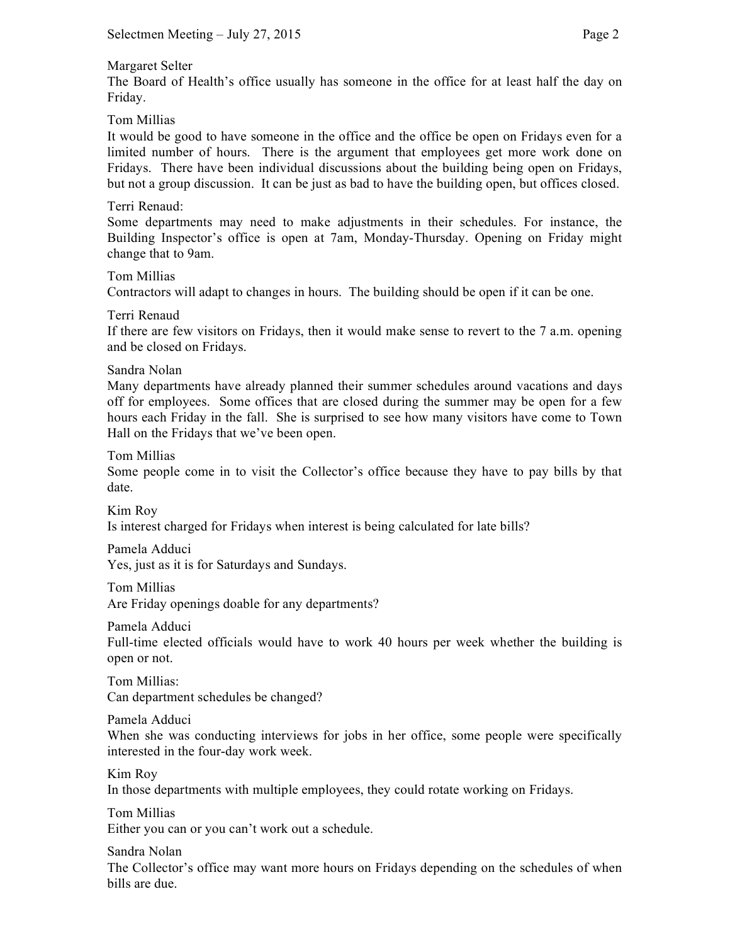## Margaret Selter

The Board of Health's office usually has someone in the office for at least half the day on Friday.

Tom Millias

It would be good to have someone in the office and the office be open on Fridays even for a limited number of hours. There is the argument that employees get more work done on Fridays. There have been individual discussions about the building being open on Fridays, but not a group discussion. It can be just as bad to have the building open, but offices closed.

# Terri Renaud:

Some departments may need to make adjustments in their schedules. For instance, the Building Inspector's office is open at 7am, Monday-Thursday. Opening on Friday might change that to 9am.

Tom Millias

Contractors will adapt to changes in hours. The building should be open if it can be one.

Terri Renaud

If there are few visitors on Fridays, then it would make sense to revert to the 7 a.m. opening and be closed on Fridays.

Sandra Nolan

Many departments have already planned their summer schedules around vacations and days off for employees. Some offices that are closed during the summer may be open for a few hours each Friday in the fall. She is surprised to see how many visitors have come to Town Hall on the Fridays that we've been open.

Tom Millias

Some people come in to visit the Collector's office because they have to pay bills by that date.

Kim Roy

Is interest charged for Fridays when interest is being calculated for late bills?

Pamela Adduci Yes, just as it is for Saturdays and Sundays.

Tom Millias

Are Friday openings doable for any departments?

Pamela Adduci

Full-time elected officials would have to work 40 hours per week whether the building is open or not.

Tom Millias: Can department schedules be changed?

Pamela Adduci

When she was conducting interviews for jobs in her office, some people were specifically interested in the four-day work week.

Kim Roy

In those departments with multiple employees, they could rotate working on Fridays.

Tom Millias Either you can or you can't work out a schedule.

Sandra Nolan

The Collector's office may want more hours on Fridays depending on the schedules of when bills are due.